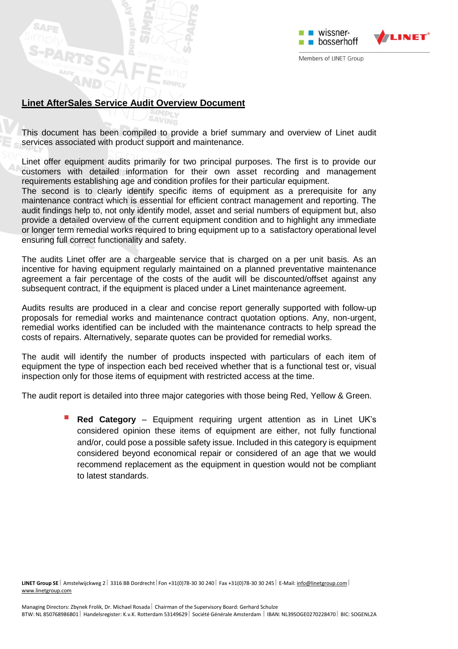

Members of LINET Group

## **Linet AfterSales Service Audit Overview Document**

This document has been compiled to provide a brief summary and overview of Linet audit services associated with product support and maintenance.

Linet offer equipment audits primarily for two principal purposes. The first is to provide our customers with detailed information for their own asset recording and management requirements establishing age and condition profiles for their particular equipment.

The second is to clearly identify specific items of equipment as a prerequisite for any maintenance contract which is essential for efficient contract management and reporting. The audit findings help to, not only identify model, asset and serial numbers of equipment but, also provide a detailed overview of the current equipment condition and to highlight any immediate or longer term remedial works required to bring equipment up to a satisfactory operational level ensuring full correct functionality and safety.

The audits Linet offer are a chargeable service that is charged on a per unit basis. As an incentive for having equipment regularly maintained on a planned preventative maintenance agreement a fair percentage of the costs of the audit will be discounted/offset against any subsequent contract, if the equipment is placed under a Linet maintenance agreement.

Audits results are produced in a clear and concise report generally supported with follow-up proposals for remedial works and maintenance contract quotation options. Any, non-urgent, remedial works identified can be included with the maintenance contracts to help spread the costs of repairs. Alternatively, separate quotes can be provided for remedial works.

The audit will identify the number of products inspected with particulars of each item of equipment the type of inspection each bed received whether that is a functional test or, visual inspection only for those items of equipment with restricted access at the time.

The audit report is detailed into three major categories with those being Red, Yellow & Green.

 **Red Category** – Equipment requiring urgent attention as in Linet UK's considered opinion these items of equipment are either, not fully functional and/or, could pose a possible safety issue. Included in this category is equipment considered beyond economical repair or considered of an age that we would recommend replacement as the equipment in question would not be compliant to latest standards.

LINET Group SE | Amstelwijckweg 2 | 3316 BB Dordrecht | Fon +31(0)78-30 30 240 | Fax +31(0)78-30 30 245 | E-Mail[: info@linetgroup.com](mailto:info@linetgroup.com) | [www.linetgroup.com](http://www.linetgroup.com/)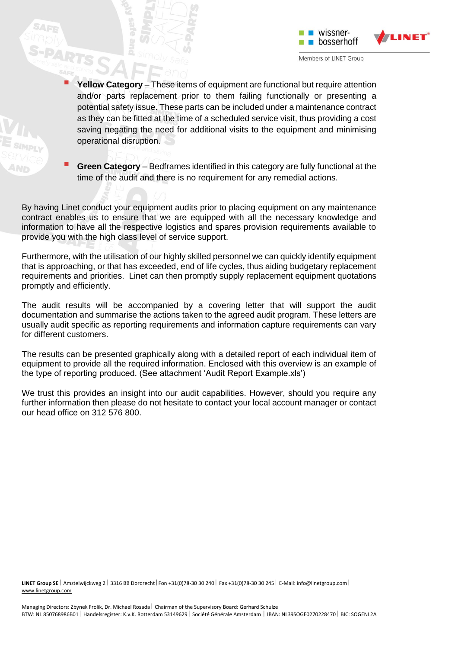





By having Linet conduct your equipment audits prior to placing equipment on any maintenance contract enables us to ensure that we are equipped with all the necessary knowledge and information to have all the respective logistics and spares provision requirements available to provide you with the high class level of service support.

Furthermore, with the utilisation of our highly skilled personnel we can quickly identify equipment that is approaching, or that has exceeded, end of life cycles, thus aiding budgetary replacement requirements and priorities. Linet can then promptly supply replacement equipment quotations promptly and efficiently.

The audit results will be accompanied by a covering letter that will support the audit documentation and summarise the actions taken to the agreed audit program. These letters are usually audit specific as reporting requirements and information capture requirements can vary for different customers.

The results can be presented graphically along with a detailed report of each individual item of equipment to provide all the required information. Enclosed with this overview is an example of the type of reporting produced. (See attachment 'Audit Report Example.xls')

We trust this provides an insight into our audit capabilities. However, should you require any further information then please do not hesitate to contact your local account manager or contact our head office on 312 576 800.

LINET Group SE | Amstelwijckweg 2 | 3316 BB Dordrecht | Fon +31(0)78-30 30 240 | Fax +31(0)78-30 30 245 | E-Mail[: info@linetgroup.com](mailto:info@linetgroup.com) | [www.linetgroup.com](http://www.linetgroup.com/)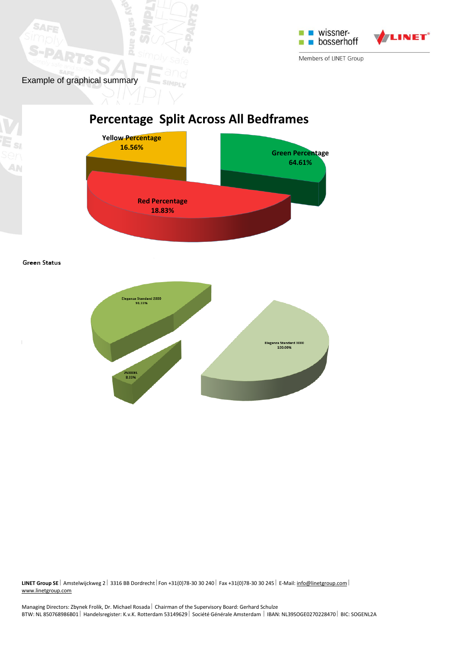

Example of graphical summary

SAF

## **Percentage Split Across All Bedframes**



**Green Status** 



**LINET Group SE** | Amstelwijckweg 2 | 3316 BB Dordrecht | Fon +31(0)78-30 30 240 | Fax +31(0)78-30 30 245 | E-Mail: *info@linetgroup.com* | [www.linetgroup.com](http://www.linetgroup.com/)